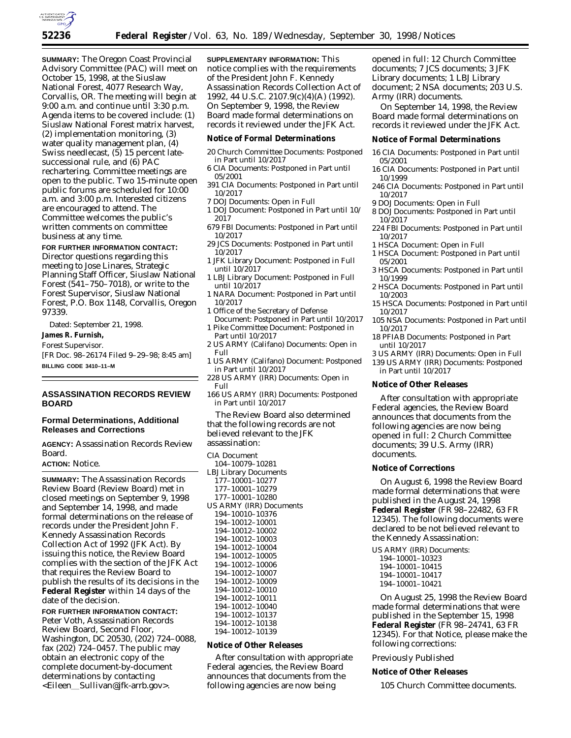

**SUMMARY:** The Oregon Coast Provincial Advisory Committee (PAC) will meet on October 15, 1998, at the Siuslaw National Forest, 4077 Research Way, Corvallis, OR. The meeting will begin at 9:00 a.m. and continue until 3:30 p.m. Agenda items to be covered include: (1) Siuslaw National Forest matrix harvest, (2) implementation monitoring, (3) water quality management plan, (4) Swiss needlecast, (5) 15 percent latesuccessional rule, and (6) PAC rechartering. Committee meetings are open to the public. Two 15-minute open public forums are scheduled for 10:00 a.m. and 3:00 p.m. Interested citizens are encouraged to attend. The Committee welcomes the public's written comments on committee business at any time.

**FOR FURTHER INFORMATION CONTACT:**

Director questions regarding this meeting to Jose Linares, Strategic Planning Staff Officer, Siuslaw National Forest (541–750–7018), or write to the Forest Supervisor, Siuslaw National Forest, P.O. Box 1148, Corvallis, Oregon 97339.

Dated: September 21, 1998.

**James R. Furnish,**

## *Forest Supervisor.*

[FR Doc. 98–26174 Filed 9–29–98; 8:45 am] **BILLING CODE 3410–11–M**

**ASSASSINATION RECORDS REVIEW BOARD**

## **Formal Determinations, Additional Releases and Corrections**

**AGENCY:** Assassination Records Review Board.

# **ACTION:** Notice.

**SUMMARY:** The Assassination Records Review Board (Review Board) met in closed meetings on September 9, 1998 and September 14, 1998, and made formal determinations on the release of records under the President John F. Kennedy Assassination Records Collection Act of 1992 (JFK Act). By issuing this notice, the Review Board complies with the section of the JFK Act that requires the Review Board to publish the results of its decisions in the **Federal Register** within 14 days of the date of the decision.

## **FOR FURTHER INFORMATION CONTACT:**

Peter Voth, Assassination Records Review Board, Second Floor, Washington, DC 20530, (202) 724–0088, fax (202) 724–0457. The public may obtain an electronic copy of the complete document-by-document determinations by contacting <Eileen\_Sullivan@jfk-arrb.gov>.

**SUPPLEMENTARY INFORMATION:** This notice complies with the requirements of the President John F. Kennedy Assassination Records Collection Act of 1992, 44 U.S.C. 2107.9(c)(4)(A) (1992). On September 9, 1998, the Review Board made formal determinations on records it reviewed under the JFK Act.

#### **Notice of Formal Determinations**

- 20 Church Committee Documents: Postponed in Part until 10/2017
- 6 CIA Documents: Postponed in Part until 05/2001
- 391 CIA Documents: Postponed in Part until 10/2017
- 7 DOJ Documents: Open in Full
- 1 DOJ Document: Postponed in Part until 10/ 2017
- 679 FBI Documents: Postponed in Part until 10/2017
- 29 JCS Documents: Postponed in Part until 10/2017
- 1 JFK Library Document: Postponed in Full until 10/2017
- 1 LBJ Library Document: Postponed in Full until 10/2017
- 1 NARA Document: Postponed in Part until 10/2017
- 1 Office of the Secretary of Defense Document: Postponed in Part until 10/2017
- 1 Pike Committee Document: Postponed in Part until 10/2017
- 2 US ARMY (Califano) Documents: Open in Full
- 1 US ARMY (Califano) Document: Postponed in Part until 10/2017
- 228 US ARMY (IRR) Documents: Open in Full
- 166 US ARMY (IRR) Documents: Postponed in Part until 10/2017

The Review Board also determined that the following records are not believed relevant to the JFK assassination:

CIA Document

104–10079–10281 LBJ Library Documents 177–10001–10277 177–10001–10279 177–10001–10280 US ARMY (IRR) Documents 194–10010–10376 194–10012–10001 194–10012–10002 194–10012–10003 194–10012–10004 194–10012–10005 194–10012–10006 194–10012–10007 194–10012–10009 194–10012–10010 194–10012–10011 194–10012–10040 194–10012–10137 194–10012–10138 194–10012–10139

### **Notice of Other Releases**

After consultation with appropriate Federal agencies, the Review Board announces that documents from the following agencies are now being

opened in full: 12 Church Committee documents; 7 JCS documents; 3 JFK Library documents; 1 LBJ Library document; 2 NSA documents; 203 U.S. Army (IRR) documents.

On September 14, 1998, the Review Board made formal determinations on records it reviewed under the JFK Act.

## **Notice of Formal Determinations**

- 16 CIA Documents: Postponed in Part until 05/2001
- 16 CIA Documents: Postponed in Part until 10/1999
- 246 CIA Documents: Postponed in Part until 10/2017
- 9 DOJ Documents: Open in Full 8 DOJ Documents: Postponed in Part until
- 10/2017
- 224 FBI Documents: Postponed in Part until 10/2017
- 1 HSCA Document: Open in Full
- 1 HSCA Document: Postponed in Part until 05/2001
- 3 HSCA Documents: Postponed in Part until 10/1999
- 2 HSCA Documents: Postponed in Part until 10/2003
- 15 HSCA Documents: Postponed in Part until 10/2017
- 105 NSA Documents: Postponed in Part until 10/2017
- 18 PFIAB Documents: Postponed in Part until 10/2017
- 3 US ARMY (IRR) Documents: Open in Full 139 US ARMY (IRR) Documents: Postponed in Part until 10/2017

## **Notice of Other Releases**

After consultation with appropriate Federal agencies, the Review Board announces that documents from the following agencies are now being opened in full: 2 Church Committee documents; 39 U.S. Army (IRR) documents.

#### **Notice of Corrections**

On August 6, 1998 the Review Board made formal determinations that were published in the August 24, 1998 **Federal Register** (FR 98–22482, 63 FR 12345). The following documents were declared to be not believed relevant to the Kennedy Assassination:

US ARMY (IRR) Documents:

- 194–10001–10323
- 194–10001–10415 194–10001–10417
- 194–10001–10421

On August 25, 1998 the Review Board made formal determinations that were published in the September 15, 1998 **Federal Register** (FR 98–24741, 63 FR 12345). For that Notice, please make the following corrections:

#### Previously Published

# **Notice of Other Releases**

105 Church Committee documents.